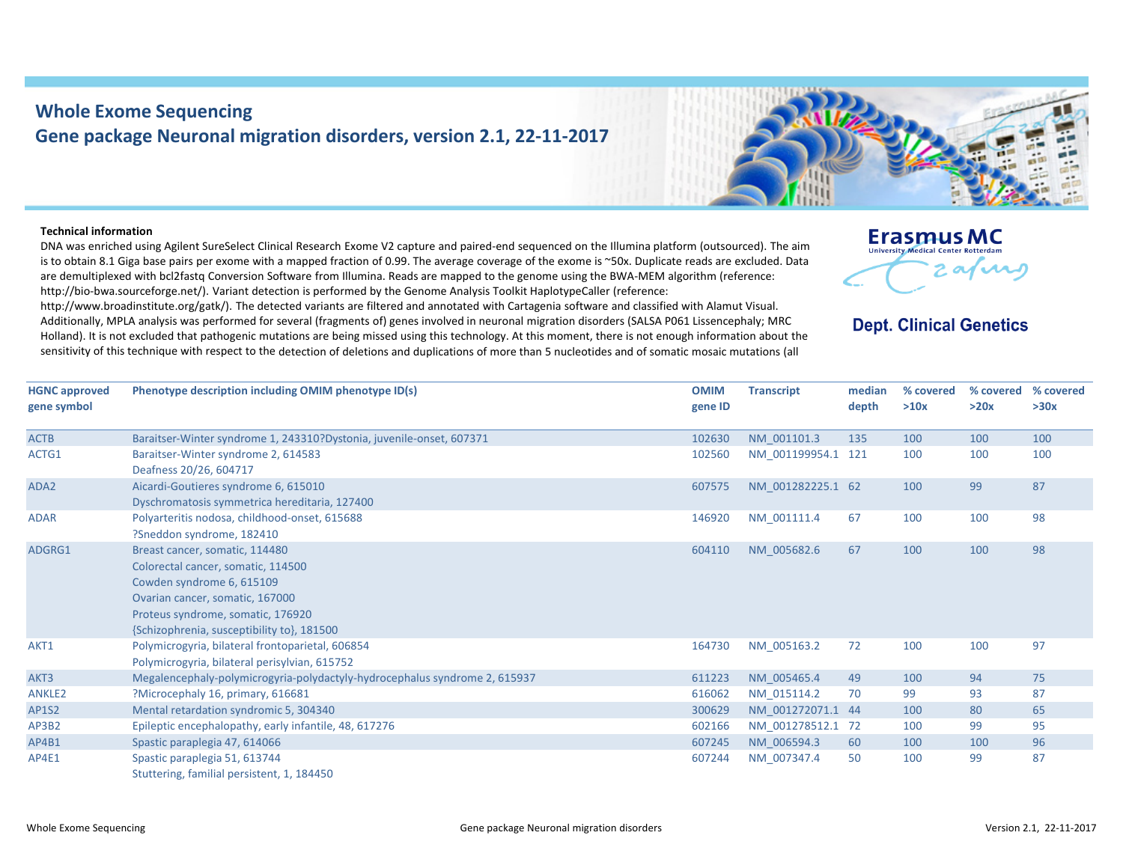## **Whole Exome Sequencing Gene package Neuronal migration disorders, version 2.1, 22‐11‐2017**

## **Technical information**

DNA was enriched using Agilent SureSelect Clinical Research Exome V2 capture and paired‐end sequenced on the Illumina platform (outsourced). The aim is to obtain 8.1 Giga base pairs per exome with <sup>a</sup> mapped fraction of 0.99. The average coverage of the exome is ~50x. Duplicate reads are excluded. Data are demultiplexed with bcl2fastq Conversion Software from Illumina. Reads are mapped to the genome using the BWA‐MEM algorithm (reference: http://bio-bwa.sourceforge.net/). Variant detection is performed by the Genome Analysis Toolkit HaplotypeCaller (reference:

http://www.broadinstitute.org/gatk/). The detected variants are filtered and annotated with Cartagenia software and classified with Alamut Visual. Additionally, MPLA analysis was performed for several (fragments of) genes involved in neuronal migration disorders (SALSA P061 Lissencephaly; MRC Holland). It is not excluded that pathogenic mutations are being missed using this technology. At this moment, there is not enough information about the sensitivity of this technique with respect to the detection of deletions and duplications of more than 5 nucleotides and of somatic mosaic mutations (all



## **Dept. Clinical Genetics**

| <b>HGNC approved</b><br>gene symbol | Phenotype description including OMIM phenotype ID(s)                                                                                                                                                                    | <b>OMIM</b><br>gene ID | <b>Transcript</b>  | median<br>depth | % covered<br>>10x | % covered<br>>20x | % covered<br>>30x |
|-------------------------------------|-------------------------------------------------------------------------------------------------------------------------------------------------------------------------------------------------------------------------|------------------------|--------------------|-----------------|-------------------|-------------------|-------------------|
| <b>ACTB</b>                         | Baraitser-Winter syndrome 1, 243310?Dystonia, juvenile-onset, 607371                                                                                                                                                    | 102630                 | NM 001101.3        | 135             | 100               | 100               | 100               |
| ACTG1                               | Baraitser-Winter syndrome 2, 614583<br>Deafness 20/26, 604717                                                                                                                                                           | 102560                 | NM 001199954.1 121 |                 | 100               | 100               | 100               |
| ADA2                                | Aicardi-Goutieres syndrome 6, 615010<br>Dyschromatosis symmetrica hereditaria, 127400                                                                                                                                   | 607575                 | NM 001282225.1 62  |                 | 100               | 99                | 87                |
| <b>ADAR</b>                         | Polyarteritis nodosa, childhood-onset, 615688<br>?Sneddon syndrome, 182410                                                                                                                                              | 146920                 | NM 001111.4        | 67              | 100               | 100               | 98                |
| ADGRG1                              | Breast cancer, somatic, 114480<br>Colorectal cancer, somatic, 114500<br>Cowden syndrome 6, 615109<br>Ovarian cancer, somatic, 167000<br>Proteus syndrome, somatic, 176920<br>{Schizophrenia, susceptibility to}, 181500 | 604110                 | NM 005682.6        | 67              | 100               | 100               | 98                |
| AKT1                                | Polymicrogyria, bilateral frontoparietal, 606854<br>Polymicrogyria, bilateral perisylvian, 615752                                                                                                                       | 164730                 | NM 005163.2        | 72              | 100               | 100               | 97                |
| AKT3                                | Megalencephaly-polymicrogyria-polydactyly-hydrocephalus syndrome 2, 615937                                                                                                                                              | 611223                 | NM 005465.4        | 49              | 100               | 94                | 75                |
| <b>ANKLE2</b>                       | ?Microcephaly 16, primary, 616681                                                                                                                                                                                       | 616062                 | NM 015114.2        | 70              | 99                | 93                | 87                |
| <b>AP1S2</b>                        | Mental retardation syndromic 5, 304340                                                                                                                                                                                  | 300629                 | NM_001272071.1 44  |                 | 100               | 80                | 65                |
| AP3B2                               | Epileptic encephalopathy, early infantile, 48, 617276                                                                                                                                                                   | 602166                 | NM 001278512.1 72  |                 | 100               | 99                | 95                |
| AP4B1                               | Spastic paraplegia 47, 614066                                                                                                                                                                                           | 607245                 | NM 006594.3        | 60              | 100               | 100               | 96                |
| AP4E1                               | Spastic paraplegia 51, 613744<br>Stuttering, familial persistent, 1, 184450                                                                                                                                             | 607244                 | NM 007347.4        | 50              | 100               | 99                | 87                |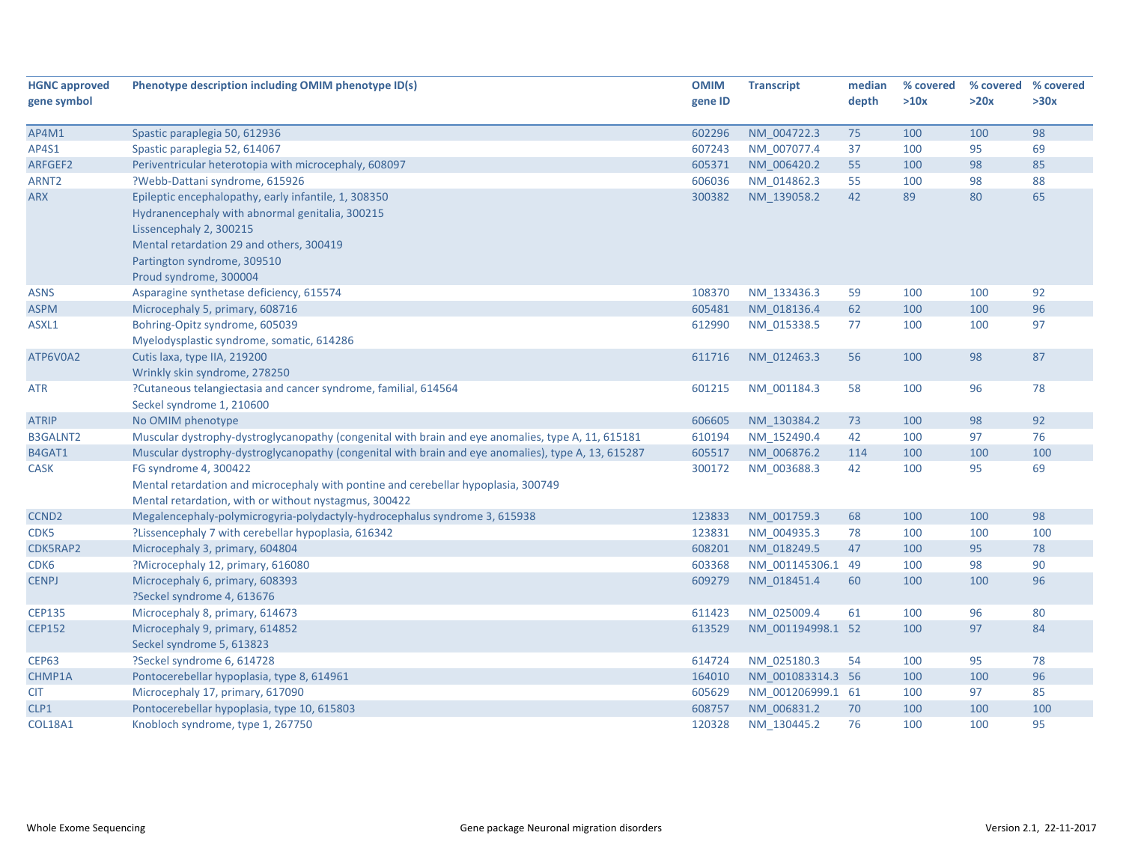| <b>HGNC approved</b> | Phenotype description including OMIM phenotype ID(s)                                                | <b>OMIM</b> | <b>Transcript</b> | median | % covered | % covered % covered |      |
|----------------------|-----------------------------------------------------------------------------------------------------|-------------|-------------------|--------|-----------|---------------------|------|
| gene symbol          |                                                                                                     | gene ID     |                   | depth  | >10x      | >20x                | >30x |
|                      |                                                                                                     |             |                   |        |           |                     |      |
| AP4M1                | Spastic paraplegia 50, 612936                                                                       | 602296      | NM_004722.3       | 75     | 100       | 100                 | 98   |
| AP4S1                | Spastic paraplegia 52, 614067                                                                       | 607243      | NM_007077.4       | 37     | 100       | 95                  | 69   |
| ARFGEF2              | Periventricular heterotopia with microcephaly, 608097                                               | 605371      | NM 006420.2       | 55     | 100       | 98                  | 85   |
| ARNT <sub>2</sub>    | ?Webb-Dattani syndrome, 615926                                                                      | 606036      | NM 014862.3       | 55     | 100       | 98                  | 88   |
| <b>ARX</b>           | Epileptic encephalopathy, early infantile, 1, 308350                                                | 300382      | NM 139058.2       | 42     | 89        | 80                  | 65   |
|                      | Hydranencephaly with abnormal genitalia, 300215                                                     |             |                   |        |           |                     |      |
|                      | Lissencephaly 2, 300215                                                                             |             |                   |        |           |                     |      |
|                      | Mental retardation 29 and others, 300419                                                            |             |                   |        |           |                     |      |
|                      | Partington syndrome, 309510                                                                         |             |                   |        |           |                     |      |
|                      | Proud syndrome, 300004                                                                              |             |                   |        |           |                     |      |
| <b>ASNS</b>          | Asparagine synthetase deficiency, 615574                                                            | 108370      | NM_133436.3       | 59     | 100       | 100                 | 92   |
| <b>ASPM</b>          | Microcephaly 5, primary, 608716                                                                     | 605481      | NM 018136.4       | 62     | 100       | 100                 | 96   |
| ASXL1                | Bohring-Opitz syndrome, 605039                                                                      | 612990      | NM_015338.5       | 77     | 100       | 100                 | 97   |
|                      | Myelodysplastic syndrome, somatic, 614286                                                           |             |                   |        |           |                     |      |
| ATP6V0A2             | Cutis laxa, type IIA, 219200                                                                        | 611716      | NM 012463.3       | 56     | 100       | 98                  | 87   |
|                      | Wrinkly skin syndrome, 278250                                                                       |             |                   |        |           |                     |      |
| ATR                  | ?Cutaneous telangiectasia and cancer syndrome, familial, 614564                                     | 601215      | NM 001184.3       | 58     | 100       | 96                  | 78   |
|                      | Seckel syndrome 1, 210600                                                                           |             |                   |        |           |                     |      |
| <b>ATRIP</b>         | No OMIM phenotype                                                                                   | 606605      | NM_130384.2       | 73     | 100       | 98                  | 92   |
| <b>B3GALNT2</b>      | Muscular dystrophy-dystroglycanopathy (congenital with brain and eye anomalies, type A, 11, 615181  | 610194      | NM_152490.4       | 42     | 100       | 97                  | 76   |
| B4GAT1               | Muscular dystrophy-dystroglycanopathy (congenital with brain and eye anomalies), type A, 13, 615287 | 605517      | NM 006876.2       | 114    | 100       | 100                 | 100  |
| <b>CASK</b>          | FG syndrome 4, 300422                                                                               | 300172      | NM 003688.3       | 42     | 100       | 95                  | 69   |
|                      | Mental retardation and microcephaly with pontine and cerebellar hypoplasia, 300749                  |             |                   |        |           |                     |      |
|                      | Mental retardation, with or without nystagmus, 300422                                               |             |                   |        |           |                     |      |
| CCND <sub>2</sub>    | Megalencephaly-polymicrogyria-polydactyly-hydrocephalus syndrome 3, 615938                          | 123833      | NM 001759.3       | 68     | 100       | 100                 | 98   |
| CDK5                 | ?Lissencephaly 7 with cerebellar hypoplasia, 616342                                                 | 123831      | NM_004935.3       | 78     | 100       | 100                 | 100  |
| CDK5RAP2             | Microcephaly 3, primary, 604804                                                                     | 608201      | NM 018249.5       | 47     | 100       | 95                  | 78   |
| CDK6                 | ?Microcephaly 12, primary, 616080                                                                   | 603368      | NM 001145306.1 49 |        | 100       | 98                  | 90   |
| <b>CENPJ</b>         | Microcephaly 6, primary, 608393                                                                     | 609279      | NM 018451.4       | 60     | 100       | 100                 | 96   |
|                      | ?Seckel syndrome 4, 613676                                                                          |             |                   |        |           |                     |      |
| <b>CEP135</b>        | Microcephaly 8, primary, 614673                                                                     | 611423      | NM_025009.4       | 61     | 100       | 96                  | 80   |
| <b>CEP152</b>        | Microcephaly 9, primary, 614852                                                                     | 613529      | NM 001194998.1 52 |        | 100       | 97                  | 84   |
|                      | Seckel syndrome 5, 613823                                                                           |             |                   |        |           |                     |      |
| <b>CEP63</b>         | ?Seckel syndrome 6, 614728                                                                          | 614724      | NM 025180.3       | 54     | 100       | 95                  | 78   |
| CHMP1A               | Pontocerebellar hypoplasia, type 8, 614961                                                          | 164010      | NM 001083314.3 56 |        | 100       | 100                 | 96   |
| <b>CIT</b>           | Microcephaly 17, primary, 617090                                                                    | 605629      | NM_001206999.1 61 |        | 100       | 97                  | 85   |
| CLP1                 | Pontocerebellar hypoplasia, type 10, 615803                                                         | 608757      | NM_006831.2       | 70     | 100       | 100                 | 100  |
| <b>COL18A1</b>       | Knobloch syndrome, type 1, 267750                                                                   | 120328      | NM 130445.2       | 76     | 100       | 100                 | 95   |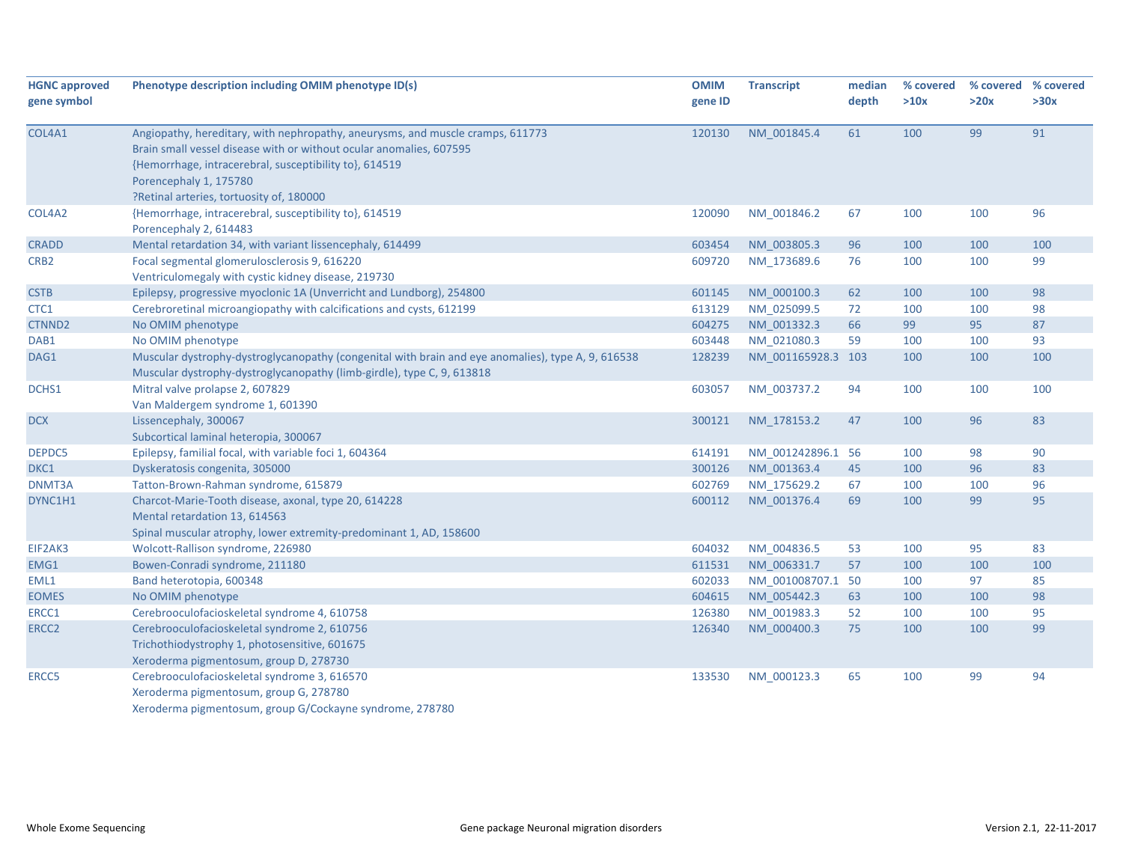| <b>HGNC approved</b> | Phenotype description including OMIM phenotype ID(s)                                                                                                                                                                                                                                  | <b>OMIM</b> | <b>Transcript</b>  | median | % covered | % covered % covered |      |
|----------------------|---------------------------------------------------------------------------------------------------------------------------------------------------------------------------------------------------------------------------------------------------------------------------------------|-------------|--------------------|--------|-----------|---------------------|------|
| gene symbol          |                                                                                                                                                                                                                                                                                       | gene ID     |                    | depth  | >10x      | >20x                | >30x |
| COL4A1               | Angiopathy, hereditary, with nephropathy, aneurysms, and muscle cramps, 611773<br>Brain small vessel disease with or without ocular anomalies, 607595<br>{Hemorrhage, intracerebral, susceptibility to}, 614519<br>Porencephaly 1, 175780<br>?Retinal arteries, tortuosity of, 180000 | 120130      | NM 001845.4        | 61     | 100       | 99                  | 91   |
| COL4A2               | {Hemorrhage, intracerebral, susceptibility to}, 614519<br>Porencephaly 2, 614483                                                                                                                                                                                                      | 120090      | NM 001846.2        | 67     | 100       | 100                 | 96   |
| <b>CRADD</b>         | Mental retardation 34, with variant lissencephaly, 614499                                                                                                                                                                                                                             | 603454      | NM 003805.3        | 96     | 100       | 100                 | 100  |
| CRB <sub>2</sub>     | Focal segmental glomerulosclerosis 9, 616220<br>Ventriculomegaly with cystic kidney disease, 219730                                                                                                                                                                                   | 609720      | NM 173689.6        | 76     | 100       | 100                 | 99   |
| <b>CSTB</b>          | Epilepsy, progressive myoclonic 1A (Unverricht and Lundborg), 254800                                                                                                                                                                                                                  | 601145      | NM 000100.3        | 62     | 100       | 100                 | 98   |
| CTC1                 | Cerebroretinal microangiopathy with calcifications and cysts, 612199                                                                                                                                                                                                                  | 613129      | NM 025099.5        | 72     | 100       | 100                 | 98   |
| CTNND <sub>2</sub>   | No OMIM phenotype                                                                                                                                                                                                                                                                     | 604275      | NM 001332.3        | 66     | 99        | 95                  | 87   |
| DAB1                 | No OMIM phenotype                                                                                                                                                                                                                                                                     | 603448      | NM_021080.3        | 59     | 100       | 100                 | 93   |
| DAG1                 | Muscular dystrophy-dystroglycanopathy (congenital with brain and eye anomalies), type A, 9, 616538<br>Muscular dystrophy-dystroglycanopathy (limb-girdle), type C, 9, 613818                                                                                                          | 128239      | NM_001165928.3 103 |        | 100       | 100                 | 100  |
| DCHS1                | Mitral valve prolapse 2, 607829<br>Van Maldergem syndrome 1, 601390                                                                                                                                                                                                                   | 603057      | NM 003737.2        | 94     | 100       | 100                 | 100  |
| <b>DCX</b>           | Lissencephaly, 300067<br>Subcortical laminal heteropia, 300067                                                                                                                                                                                                                        | 300121      | NM 178153.2        | 47     | 100       | 96                  | 83   |
| DEPDC5               | Epilepsy, familial focal, with variable foci 1, 604364                                                                                                                                                                                                                                | 614191      | NM 001242896.1 56  |        | 100       | 98                  | 90   |
| DKC1                 | Dyskeratosis congenita, 305000                                                                                                                                                                                                                                                        | 300126      | NM 001363.4        | 45     | 100       | 96                  | 83   |
| DNMT3A               | Tatton-Brown-Rahman syndrome, 615879                                                                                                                                                                                                                                                  | 602769      | NM 175629.2        | 67     | 100       | 100                 | 96   |
| DYNC1H1              | Charcot-Marie-Tooth disease, axonal, type 20, 614228<br>Mental retardation 13, 614563<br>Spinal muscular atrophy, lower extremity-predominant 1, AD, 158600                                                                                                                           | 600112      | NM 001376.4        | 69     | 100       | 99                  | 95   |
| EIF2AK3              | Wolcott-Rallison syndrome, 226980                                                                                                                                                                                                                                                     | 604032      | NM 004836.5        | 53     | 100       | 95                  | 83   |
| EMG1                 | Bowen-Conradi syndrome, 211180                                                                                                                                                                                                                                                        | 611531      | NM 006331.7        | 57     | 100       | 100                 | 100  |
| EML1                 | Band heterotopia, 600348                                                                                                                                                                                                                                                              | 602033      | NM_001008707.1 50  |        | 100       | 97                  | 85   |
| <b>EOMES</b>         | No OMIM phenotype                                                                                                                                                                                                                                                                     | 604615      | NM 005442.3        | 63     | 100       | 100                 | 98   |
| ERCC1                | Cerebrooculofacioskeletal syndrome 4, 610758                                                                                                                                                                                                                                          | 126380      | NM_001983.3        | 52     | 100       | 100                 | 95   |
| ERCC <sub>2</sub>    | Cerebrooculofacioskeletal syndrome 2, 610756<br>Trichothiodystrophy 1, photosensitive, 601675<br>Xeroderma pigmentosum, group D, 278730                                                                                                                                               | 126340      | NM 000400.3        | 75     | 100       | 100                 | 99   |
| ERCC5                | Cerebrooculofacioskeletal syndrome 3, 616570<br>Xeroderma pigmentosum, group G, 278780<br>Xeroderma pigmentosum, group G/Cockayne syndrome, 278780                                                                                                                                    | 133530      | NM 000123.3        | 65     | 100       | 99                  | 94   |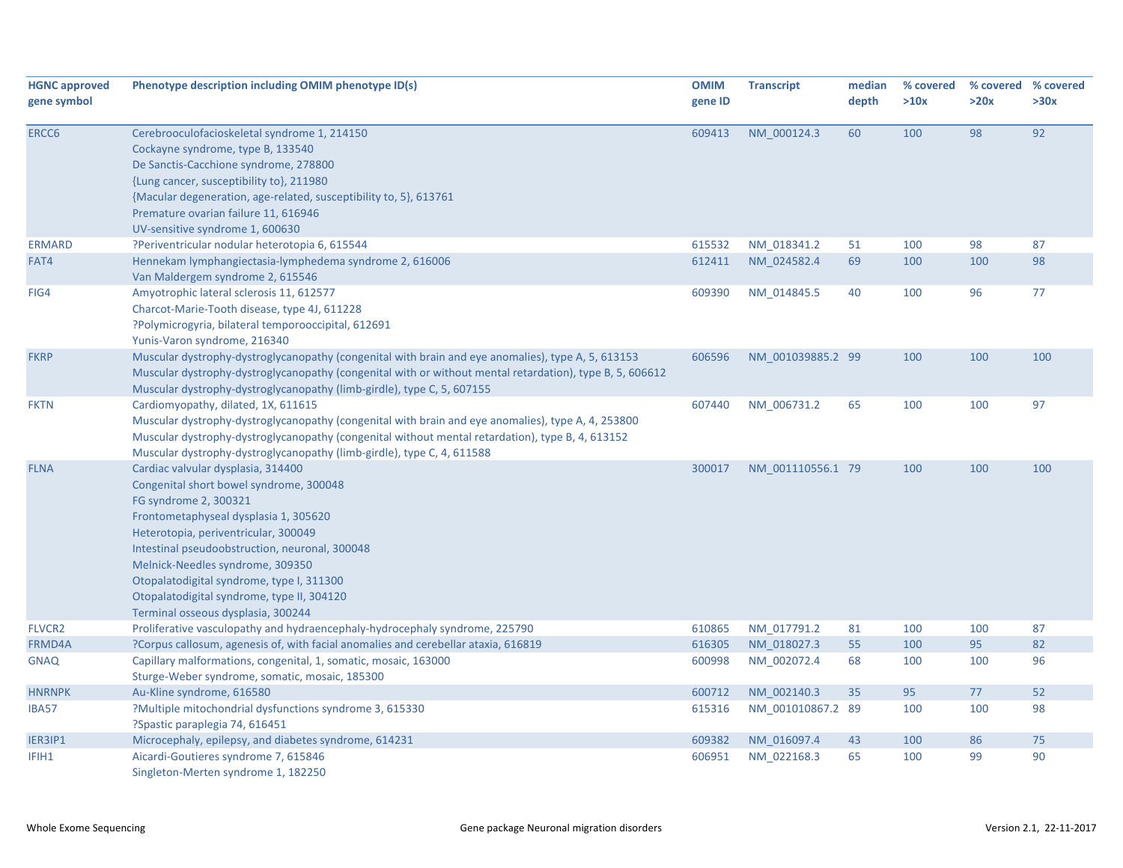| <b>HGNC approved</b><br>gene symbol | Phenotype description including OMIM phenotype ID(s)                                                                                                                                                                                                                                                                                                                                                           | <b>OMIM</b><br>gene ID | <b>Transcript</b> | median<br>depth | % covered<br>>10x | >20x | % covered % covered<br>>30x |
|-------------------------------------|----------------------------------------------------------------------------------------------------------------------------------------------------------------------------------------------------------------------------------------------------------------------------------------------------------------------------------------------------------------------------------------------------------------|------------------------|-------------------|-----------------|-------------------|------|-----------------------------|
| ERCC6                               | Cerebrooculofacioskeletal syndrome 1, 214150<br>Cockayne syndrome, type B, 133540<br>De Sanctis-Cacchione syndrome, 278800                                                                                                                                                                                                                                                                                     | 609413                 | NM 000124.3       | 60              | 100               | 98   | 92                          |
|                                     | {Lung cancer, susceptibility to}, 211980<br>{Macular degeneration, age-related, susceptibility to, 5}, 613761<br>Premature ovarian failure 11, 616946<br>UV-sensitive syndrome 1, 600630                                                                                                                                                                                                                       |                        |                   |                 |                   |      |                             |
| <b>ERMARD</b>                       | ?Periventricular nodular heterotopia 6, 615544                                                                                                                                                                                                                                                                                                                                                                 | 615532                 | NM 018341.2       | 51              | 100               | 98   | 87                          |
| FAT4                                | Hennekam lymphangiectasia-lymphedema syndrome 2, 616006<br>Van Maldergem syndrome 2, 615546                                                                                                                                                                                                                                                                                                                    | 612411                 | NM 024582.4       | 69              | 100               | 100  | 98                          |
| FIG4                                | Amyotrophic lateral sclerosis 11, 612577<br>Charcot-Marie-Tooth disease, type 4J, 611228<br>?Polymicrogyria, bilateral temporooccipital, 612691<br>Yunis-Varon syndrome, 216340                                                                                                                                                                                                                                | 609390                 | NM 014845.5       | 40              | 100               | 96   | 77                          |
| <b>FKRP</b>                         | Muscular dystrophy-dystroglycanopathy (congenital with brain and eye anomalies), type A, 5, 613153<br>Muscular dystrophy-dystroglycanopathy (congenital with or without mental retardation), type B, 5, 606612<br>Muscular dystrophy-dystroglycanopathy (limb-girdle), type C, 5, 607155                                                                                                                       | 606596                 | NM 001039885.2 99 |                 | 100               | 100  | 100                         |
| <b>FKTN</b>                         | Cardiomyopathy, dilated, 1X, 611615<br>Muscular dystrophy-dystroglycanopathy (congenital with brain and eye anomalies), type A, 4, 253800<br>Muscular dystrophy-dystroglycanopathy (congenital without mental retardation), type B, 4, 613152<br>Muscular dystrophy-dystroglycanopathy (limb-girdle), type C, 4, 611588                                                                                        | 607440                 | NM 006731.2       | 65              | 100               | 100  | 97                          |
| <b>FLNA</b>                         | Cardiac valvular dysplasia, 314400<br>Congenital short bowel syndrome, 300048<br>FG syndrome 2, 300321<br>Frontometaphyseal dysplasia 1, 305620<br>Heterotopia, periventricular, 300049<br>Intestinal pseudoobstruction, neuronal, 300048<br>Melnick-Needles syndrome, 309350<br>Otopalatodigital syndrome, type I, 311300<br>Otopalatodigital syndrome, type II, 304120<br>Terminal osseous dysplasia, 300244 | 300017                 | NM 001110556.1 79 |                 | 100               | 100  | 100                         |
| <b>FLVCR2</b>                       | Proliferative vasculopathy and hydraencephaly-hydrocephaly syndrome, 225790                                                                                                                                                                                                                                                                                                                                    | 610865                 | NM 017791.2       | 81              | 100               | 100  | 87                          |
| FRMD4A                              | ?Corpus callosum, agenesis of, with facial anomalies and cerebellar ataxia, 616819                                                                                                                                                                                                                                                                                                                             | 616305                 | NM_018027.3       | 55              | 100               | 95   | 82                          |
| <b>GNAQ</b>                         | Capillary malformations, congenital, 1, somatic, mosaic, 163000<br>Sturge-Weber syndrome, somatic, mosaic, 185300                                                                                                                                                                                                                                                                                              | 600998                 | NM 002072.4       | 68              | 100               | 100  | 96                          |
| <b>HNRNPK</b>                       | Au-Kline syndrome, 616580                                                                                                                                                                                                                                                                                                                                                                                      | 600712                 | NM 002140.3       | 35              | 95                | 77   | 52                          |
| <b>IBA57</b>                        | ?Multiple mitochondrial dysfunctions syndrome 3, 615330<br>?Spastic paraplegia 74, 616451                                                                                                                                                                                                                                                                                                                      | 615316                 | NM 001010867.2 89 |                 | 100               | 100  | 98                          |
| IER3IP1                             | Microcephaly, epilepsy, and diabetes syndrome, 614231                                                                                                                                                                                                                                                                                                                                                          | 609382                 | NM 016097.4       | 43              | 100               | 86   | 75                          |
| IFIH1                               | Aicardi-Goutieres syndrome 7, 615846<br>Singleton-Merten syndrome 1, 182250                                                                                                                                                                                                                                                                                                                                    | 606951                 | NM 022168.3       | 65              | 100               | 99   | 90                          |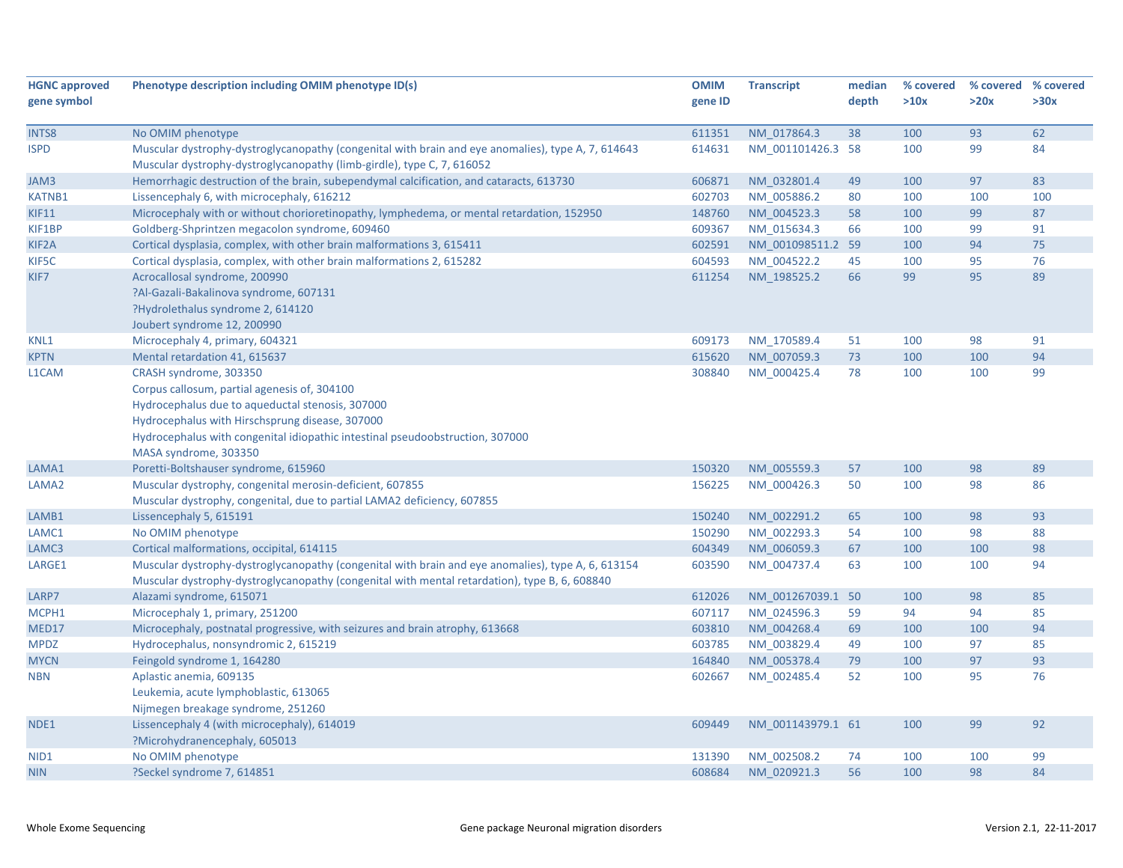| <b>HGNC approved</b> | Phenotype description including OMIM phenotype ID(s)                                               | <b>OMIM</b> | <b>Transcript</b> | median | % covered | % covered % covered |      |
|----------------------|----------------------------------------------------------------------------------------------------|-------------|-------------------|--------|-----------|---------------------|------|
| gene symbol          |                                                                                                    | gene ID     |                   | depth  | >10x      | >20x                | >30x |
| INTS8                | No OMIM phenotype                                                                                  | 611351      | NM 017864.3       | 38     | 100       | 93                  | 62   |
| <b>ISPD</b>          | Muscular dystrophy-dystroglycanopathy (congenital with brain and eye anomalies), type A, 7, 614643 | 614631      | NM 001101426.3 58 |        | 100       | 99                  | 84   |
|                      | Muscular dystrophy-dystroglycanopathy (limb-girdle), type C, 7, 616052                             |             |                   |        |           |                     |      |
| JAM3                 | Hemorrhagic destruction of the brain, subependymal calcification, and cataracts, 613730            | 606871      | NM_032801.4       | 49     | 100       | 97                  | 83   |
| <b>KATNB1</b>        | Lissencephaly 6, with microcephaly, 616212                                                         | 602703      | NM_005886.2       | 80     | 100       | 100                 | 100  |
| <b>KIF11</b>         | Microcephaly with or without chorioretinopathy, lymphedema, or mental retardation, 152950          | 148760      | NM 004523.3       | 58     | 100       | 99                  | 87   |
| KIF1BP               | Goldberg-Shprintzen megacolon syndrome, 609460                                                     | 609367      | NM_015634.3       | 66     | 100       | 99                  | 91   |
| KIF2A                | Cortical dysplasia, complex, with other brain malformations 3, 615411                              | 602591      | NM_001098511.2 59 |        | 100       | 94                  | 75   |
| KIF5C                | Cortical dysplasia, complex, with other brain malformations 2, 615282                              | 604593      | NM 004522.2       | 45     | 100       | 95                  | 76   |
| KIF7                 | Acrocallosal syndrome, 200990                                                                      | 611254      | NM 198525.2       | 66     | 99        | 95                  | 89   |
|                      | ?Al-Gazali-Bakalinova syndrome, 607131                                                             |             |                   |        |           |                     |      |
|                      | ?Hydrolethalus syndrome 2, 614120                                                                  |             |                   |        |           |                     |      |
|                      | Joubert syndrome 12, 200990                                                                        |             |                   |        |           |                     |      |
| KNL1                 | Microcephaly 4, primary, 604321                                                                    | 609173      | NM 170589.4       | 51     | 100       | 98                  | 91   |
| <b>KPTN</b>          | Mental retardation 41, 615637                                                                      | 615620      | NM 007059.3       | 73     | 100       | 100                 | 94   |
| L1CAM                | CRASH syndrome, 303350                                                                             | 308840      | NM 000425.4       | 78     | 100       | 100                 | 99   |
|                      | Corpus callosum, partial agenesis of, 304100                                                       |             |                   |        |           |                     |      |
|                      | Hydrocephalus due to aqueductal stenosis, 307000                                                   |             |                   |        |           |                     |      |
|                      | Hydrocephalus with Hirschsprung disease, 307000                                                    |             |                   |        |           |                     |      |
|                      | Hydrocephalus with congenital idiopathic intestinal pseudoobstruction, 307000                      |             |                   |        |           |                     |      |
|                      | MASA syndrome, 303350                                                                              |             |                   |        |           |                     |      |
| LAMA1                | Poretti-Boltshauser syndrome, 615960                                                               | 150320      | NM 005559.3       | 57     | 100       | 98                  | 89   |
| LAMA2                | Muscular dystrophy, congenital merosin-deficient, 607855                                           | 156225      | NM 000426.3       | 50     | 100       | 98                  | 86   |
|                      | Muscular dystrophy, congenital, due to partial LAMA2 deficiency, 607855                            |             |                   |        |           |                     |      |
| LAMB1                | Lissencephaly 5, 615191                                                                            | 150240      | NM 002291.2       | 65     | 100       | 98                  | 93   |
| LAMC1                | No OMIM phenotype                                                                                  | 150290      | NM_002293.3       | 54     | 100       | 98                  | 88   |
| LAMC3                | Cortical malformations, occipital, 614115                                                          | 604349      | NM_006059.3       | 67     | 100       | 100                 | 98   |
| LARGE1               | Muscular dystrophy-dystroglycanopathy (congenital with brain and eye anomalies), type A, 6, 613154 | 603590      | NM_004737.4       | 63     | 100       | 100                 | 94   |
|                      | Muscular dystrophy-dystroglycanopathy (congenital with mental retardation), type B, 6, 608840      |             |                   |        |           |                     |      |
| LARP7                | Alazami syndrome, 615071                                                                           | 612026      | NM 001267039.1 50 |        | 100       | 98                  | 85   |
| MCPH1                | Microcephaly 1, primary, 251200                                                                    | 607117      | NM 024596.3       | 59     | 94        | 94                  | 85   |
| MED17                | Microcephaly, postnatal progressive, with seizures and brain atrophy, 613668                       | 603810      | NM_004268.4       | 69     | 100       | 100                 | 94   |
| <b>MPDZ</b>          | Hydrocephalus, nonsyndromic 2, 615219                                                              | 603785      | NM 003829.4       | 49     | 100       | 97                  | 85   |
| <b>MYCN</b>          | Feingold syndrome 1, 164280                                                                        | 164840      | NM 005378.4       | 79     | 100       | 97                  | 93   |
| <b>NBN</b>           | Aplastic anemia, 609135                                                                            | 602667      | NM 002485.4       | 52     | 100       | 95                  | 76   |
|                      | Leukemia, acute lymphoblastic, 613065                                                              |             |                   |        |           |                     |      |
|                      | Nijmegen breakage syndrome, 251260                                                                 |             |                   |        |           |                     |      |
| NDE1                 | Lissencephaly 4 (with microcephaly), 614019                                                        | 609449      | NM 001143979.1 61 |        | 100       | 99                  | 92   |
|                      | ?Microhydranencephaly, 605013                                                                      |             |                   |        |           |                     |      |
| NID <sub>1</sub>     | No OMIM phenotype                                                                                  | 131390      | NM 002508.2       | 74     | 100       | 100                 | 99   |
| <b>NIN</b>           | ?Seckel syndrome 7, 614851                                                                         | 608684      | NM 020921.3       | 56     | 100       | 98                  | 84   |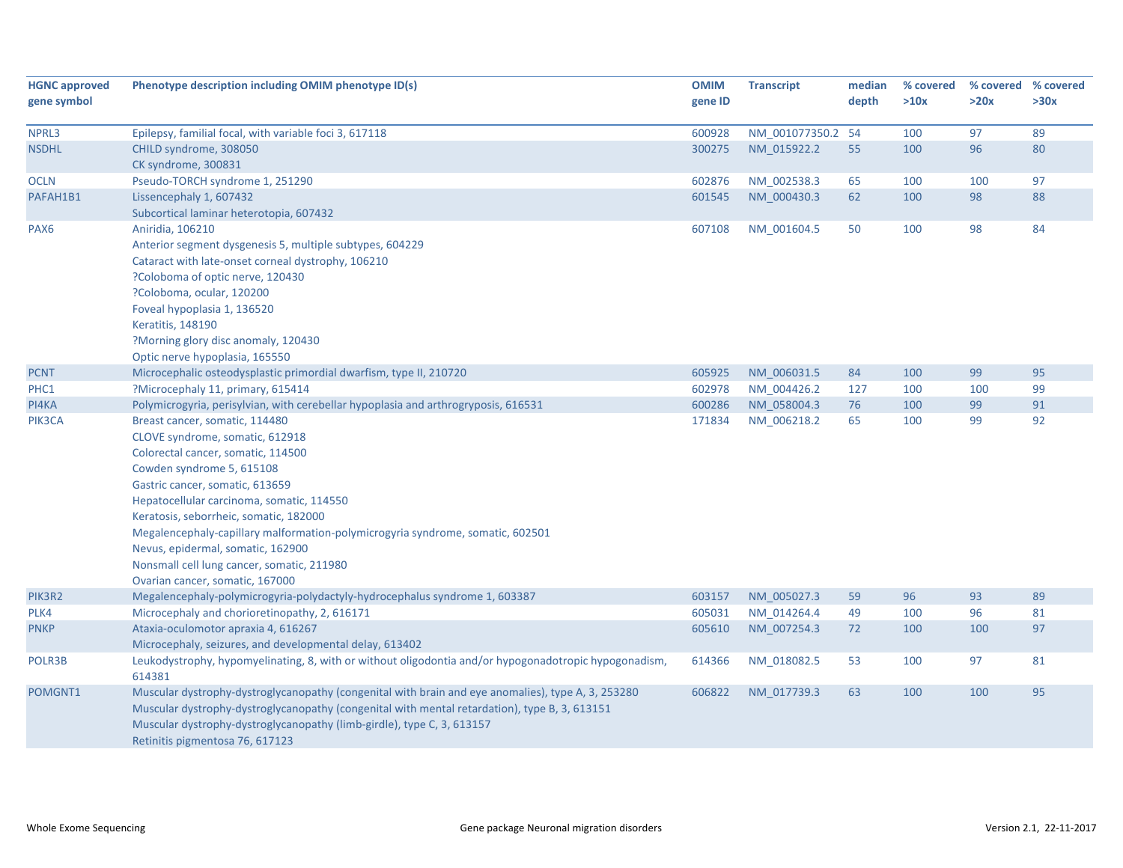| <b>HGNC approved</b> | Phenotype description including OMIM phenotype ID(s)                                                  | <b>OMIM</b> | <b>Transcript</b> | median | % covered | % covered % covered |      |
|----------------------|-------------------------------------------------------------------------------------------------------|-------------|-------------------|--------|-----------|---------------------|------|
| gene symbol          |                                                                                                       | gene ID     |                   | depth  | >10x      | >20x                | >30x |
|                      |                                                                                                       |             |                   |        |           |                     |      |
| NPRL3                | Epilepsy, familial focal, with variable foci 3, 617118                                                | 600928      | NM 001077350.2 54 |        | 100       | 97                  | 89   |
| <b>NSDHL</b>         | CHILD syndrome, 308050                                                                                | 300275      | NM_015922.2       | 55     | 100       | 96                  | 80   |
|                      | CK syndrome, 300831                                                                                   |             |                   |        |           |                     |      |
| <b>OCLN</b>          | Pseudo-TORCH syndrome 1, 251290                                                                       | 602876      | NM_002538.3       | 65     | 100       | 100                 | 97   |
| PAFAH1B1             | Lissencephaly 1, 607432                                                                               | 601545      | NM 000430.3       | 62     | 100       | 98                  | 88   |
|                      | Subcortical laminar heterotopia, 607432                                                               |             |                   |        |           |                     |      |
| PAX <sub>6</sub>     | Aniridia, 106210                                                                                      | 607108      | NM 001604.5       | 50     | 100       | 98                  | 84   |
|                      | Anterior segment dysgenesis 5, multiple subtypes, 604229                                              |             |                   |        |           |                     |      |
|                      | Cataract with late-onset corneal dystrophy, 106210                                                    |             |                   |        |           |                     |      |
|                      | ?Coloboma of optic nerve, 120430                                                                      |             |                   |        |           |                     |      |
|                      | ?Coloboma, ocular, 120200                                                                             |             |                   |        |           |                     |      |
|                      | Foveal hypoplasia 1, 136520                                                                           |             |                   |        |           |                     |      |
|                      | <b>Keratitis, 148190</b>                                                                              |             |                   |        |           |                     |      |
|                      | ?Morning glory disc anomaly, 120430                                                                   |             |                   |        |           |                     |      |
|                      | Optic nerve hypoplasia, 165550                                                                        |             |                   |        |           |                     |      |
| <b>PCNT</b>          | Microcephalic osteodysplastic primordial dwarfism, type II, 210720                                    | 605925      | NM 006031.5       | 84     | 100       | 99                  | 95   |
| PHC1                 | ?Microcephaly 11, primary, 615414                                                                     | 602978      | NM_004426.2       | 127    | 100       | 100                 | 99   |
| PI4KA                | Polymicrogyria, perisylvian, with cerebellar hypoplasia and arthrogryposis, 616531                    | 600286      | NM_058004.3       | 76     | 100       | 99                  | 91   |
| PIK3CA               | Breast cancer, somatic, 114480                                                                        | 171834      | NM_006218.2       | 65     | 100       | 99                  | 92   |
|                      | CLOVE syndrome, somatic, 612918                                                                       |             |                   |        |           |                     |      |
|                      | Colorectal cancer, somatic, 114500                                                                    |             |                   |        |           |                     |      |
|                      | Cowden syndrome 5, 615108                                                                             |             |                   |        |           |                     |      |
|                      | Gastric cancer, somatic, 613659                                                                       |             |                   |        |           |                     |      |
|                      | Hepatocellular carcinoma, somatic, 114550                                                             |             |                   |        |           |                     |      |
|                      | Keratosis, seborrheic, somatic, 182000                                                                |             |                   |        |           |                     |      |
|                      | Megalencephaly-capillary malformation-polymicrogyria syndrome, somatic, 602501                        |             |                   |        |           |                     |      |
|                      | Nevus, epidermal, somatic, 162900                                                                     |             |                   |        |           |                     |      |
|                      | Nonsmall cell lung cancer, somatic, 211980                                                            |             |                   |        |           |                     |      |
|                      | Ovarian cancer, somatic, 167000                                                                       |             |                   |        |           |                     |      |
| PIK3R2               | Megalencephaly-polymicrogyria-polydactyly-hydrocephalus syndrome 1, 603387                            | 603157      | NM 005027.3       | 59     | 96        | 93                  | 89   |
| PLK4                 | Microcephaly and chorioretinopathy, 2, 616171                                                         | 605031      | NM_014264.4       | 49     | 100       | 96                  | 81   |
| <b>PNKP</b>          | Ataxia-oculomotor apraxia 4, 616267                                                                   | 605610      | NM_007254.3       | 72     | 100       | 100                 | 97   |
|                      | Microcephaly, seizures, and developmental delay, 613402                                               |             |                   |        |           |                     |      |
| POLR3B               | Leukodystrophy, hypomyelinating, 8, with or without oligodontia and/or hypogonadotropic hypogonadism, | 614366      | NM_018082.5       | 53     | 100       | 97                  | 81   |
|                      | 614381                                                                                                |             |                   |        |           |                     |      |
| POMGNT1              | Muscular dystrophy-dystroglycanopathy (congenital with brain and eye anomalies), type A, 3, 253280    | 606822      | NM 017739.3       | 63     | 100       | 100                 | 95   |
|                      | Muscular dystrophy-dystroglycanopathy (congenital with mental retardation), type B, 3, 613151         |             |                   |        |           |                     |      |
|                      | Muscular dystrophy-dystroglycanopathy (limb-girdle), type C, 3, 613157                                |             |                   |        |           |                     |      |
|                      | Retinitis pigmentosa 76, 617123                                                                       |             |                   |        |           |                     |      |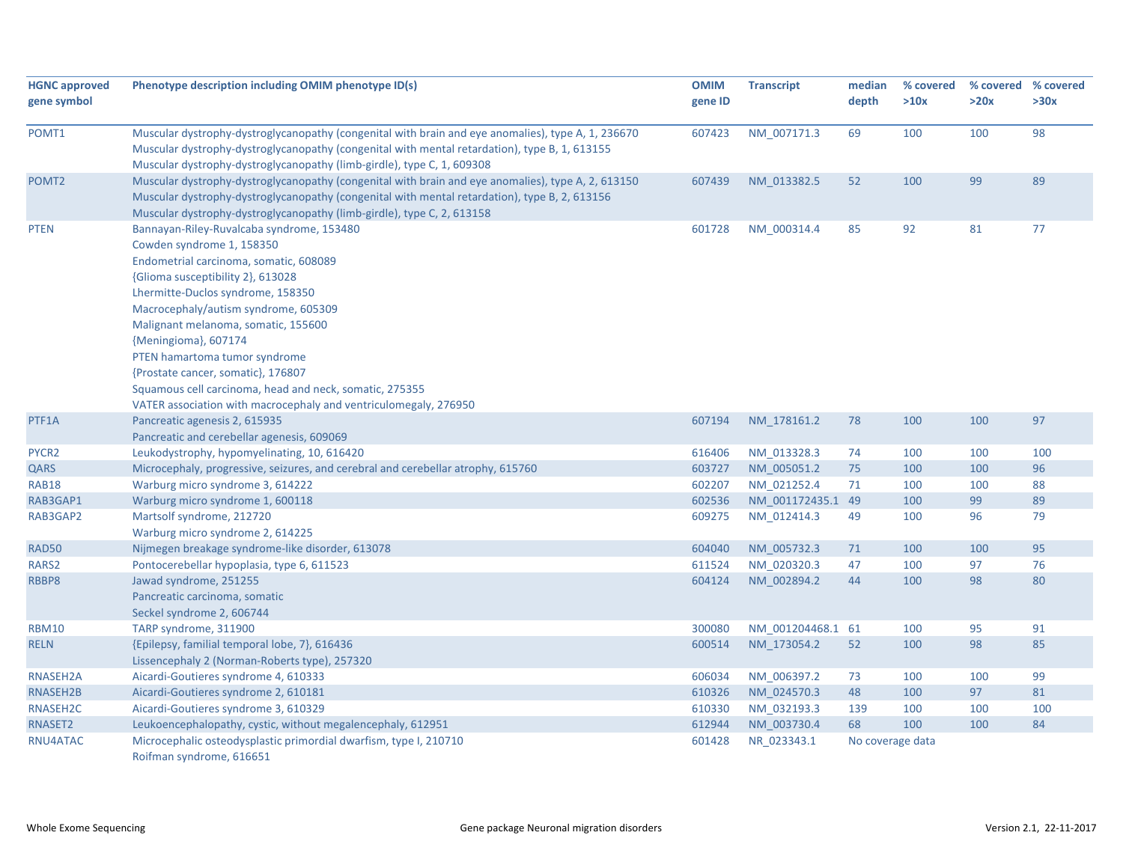| <b>HGNC approved</b><br>gene symbol | Phenotype description including OMIM phenotype ID(s)                                                                                                                                                                                                                                                                                                                                                                                                                                                    | <b>OMIM</b><br>gene ID | <b>Transcript</b> | median<br>depth  | % covered<br>>10x | >20x | % covered % covered<br>>30x |
|-------------------------------------|---------------------------------------------------------------------------------------------------------------------------------------------------------------------------------------------------------------------------------------------------------------------------------------------------------------------------------------------------------------------------------------------------------------------------------------------------------------------------------------------------------|------------------------|-------------------|------------------|-------------------|------|-----------------------------|
|                                     |                                                                                                                                                                                                                                                                                                                                                                                                                                                                                                         |                        |                   |                  |                   |      |                             |
| POMT1                               | Muscular dystrophy-dystroglycanopathy (congenital with brain and eye anomalies), type A, 1, 236670<br>Muscular dystrophy-dystroglycanopathy (congenital with mental retardation), type B, 1, 613155<br>Muscular dystrophy-dystroglycanopathy (limb-girdle), type C, 1, 609308                                                                                                                                                                                                                           | 607423                 | NM 007171.3       | 69               | 100               | 100  | 98                          |
| POMT <sub>2</sub>                   | Muscular dystrophy-dystroglycanopathy (congenital with brain and eye anomalies), type A, 2, 613150<br>Muscular dystrophy-dystroglycanopathy (congenital with mental retardation), type B, 2, 613156<br>Muscular dystrophy-dystroglycanopathy (limb-girdle), type C, 2, 613158                                                                                                                                                                                                                           | 607439                 | NM 013382.5       | 52               | 100               | 99   | 89                          |
| <b>PTEN</b>                         | Bannayan-Riley-Ruvalcaba syndrome, 153480<br>Cowden syndrome 1, 158350<br>Endometrial carcinoma, somatic, 608089<br>{Glioma susceptibility 2}, 613028<br>Lhermitte-Duclos syndrome, 158350<br>Macrocephaly/autism syndrome, 605309<br>Malignant melanoma, somatic, 155600<br>{Meningioma}, 607174<br>PTEN hamartoma tumor syndrome<br>{Prostate cancer, somatic}, 176807<br>Squamous cell carcinoma, head and neck, somatic, 275355<br>VATER association with macrocephaly and ventriculomegaly, 276950 | 601728                 | NM_000314.4       | 85               | 92                | 81   | 77                          |
| PTF1A                               | Pancreatic agenesis 2, 615935<br>Pancreatic and cerebellar agenesis, 609069                                                                                                                                                                                                                                                                                                                                                                                                                             | 607194                 | NM 178161.2       | 78               | 100               | 100  | 97                          |
| PYCR2                               | Leukodystrophy, hypomyelinating, 10, 616420                                                                                                                                                                                                                                                                                                                                                                                                                                                             | 616406                 | NM_013328.3       | 74               | 100               | 100  | 100                         |
| QARS                                | Microcephaly, progressive, seizures, and cerebral and cerebellar atrophy, 615760                                                                                                                                                                                                                                                                                                                                                                                                                        | 603727                 | NM 005051.2       | 75               | 100               | 100  | 96                          |
| <b>RAB18</b>                        | Warburg micro syndrome 3, 614222                                                                                                                                                                                                                                                                                                                                                                                                                                                                        | 602207                 | NM 021252.4       | 71               | 100               | 100  | 88                          |
| RAB3GAP1                            | Warburg micro syndrome 1, 600118                                                                                                                                                                                                                                                                                                                                                                                                                                                                        | 602536                 | NM 001172435.1 49 |                  | 100               | 99   | 89                          |
| RAB3GAP2                            | Martsolf syndrome, 212720<br>Warburg micro syndrome 2, 614225                                                                                                                                                                                                                                                                                                                                                                                                                                           | 609275                 | NM_012414.3       | 49               | 100               | 96   | 79                          |
| <b>RAD50</b>                        | Nijmegen breakage syndrome-like disorder, 613078                                                                                                                                                                                                                                                                                                                                                                                                                                                        | 604040                 | NM_005732.3       | 71               | 100               | 100  | 95                          |
| RARS2                               | Pontocerebellar hypoplasia, type 6, 611523                                                                                                                                                                                                                                                                                                                                                                                                                                                              | 611524                 | NM_020320.3       | 47               | 100               | 97   | 76                          |
| RBBP8                               | Jawad syndrome, 251255<br>Pancreatic carcinoma, somatic<br>Seckel syndrome 2, 606744                                                                                                                                                                                                                                                                                                                                                                                                                    | 604124                 | NM 002894.2       | 44               | 100               | 98   | 80                          |
| <b>RBM10</b>                        | TARP syndrome, 311900                                                                                                                                                                                                                                                                                                                                                                                                                                                                                   | 300080                 | NM 001204468.1 61 |                  | 100               | 95   | 91                          |
| <b>RELN</b>                         | {Epilepsy, familial temporal lobe, 7}, 616436<br>Lissencephaly 2 (Norman-Roberts type), 257320                                                                                                                                                                                                                                                                                                                                                                                                          | 600514                 | NM 173054.2       | 52               | 100               | 98   | 85                          |
| RNASEH2A                            | Aicardi-Goutieres syndrome 4, 610333                                                                                                                                                                                                                                                                                                                                                                                                                                                                    | 606034                 | NM_006397.2       | 73               | 100               | 100  | 99                          |
| RNASEH2B                            | Aicardi-Goutieres syndrome 2, 610181                                                                                                                                                                                                                                                                                                                                                                                                                                                                    | 610326                 | NM 024570.3       | 48               | 100               | 97   | 81                          |
| RNASEH2C                            | Aicardi-Goutieres syndrome 3, 610329                                                                                                                                                                                                                                                                                                                                                                                                                                                                    | 610330                 | NM_032193.3       | 139              | 100               | 100  | 100                         |
| RNASET2                             | Leukoencephalopathy, cystic, without megalencephaly, 612951                                                                                                                                                                                                                                                                                                                                                                                                                                             | 612944                 | NM_003730.4       | 68               | 100               | 100  | 84                          |
| RNU4ATAC                            | Microcephalic osteodysplastic primordial dwarfism, type I, 210710<br>Roifman syndrome, 616651                                                                                                                                                                                                                                                                                                                                                                                                           | 601428                 | NR_023343.1       | No coverage data |                   |      |                             |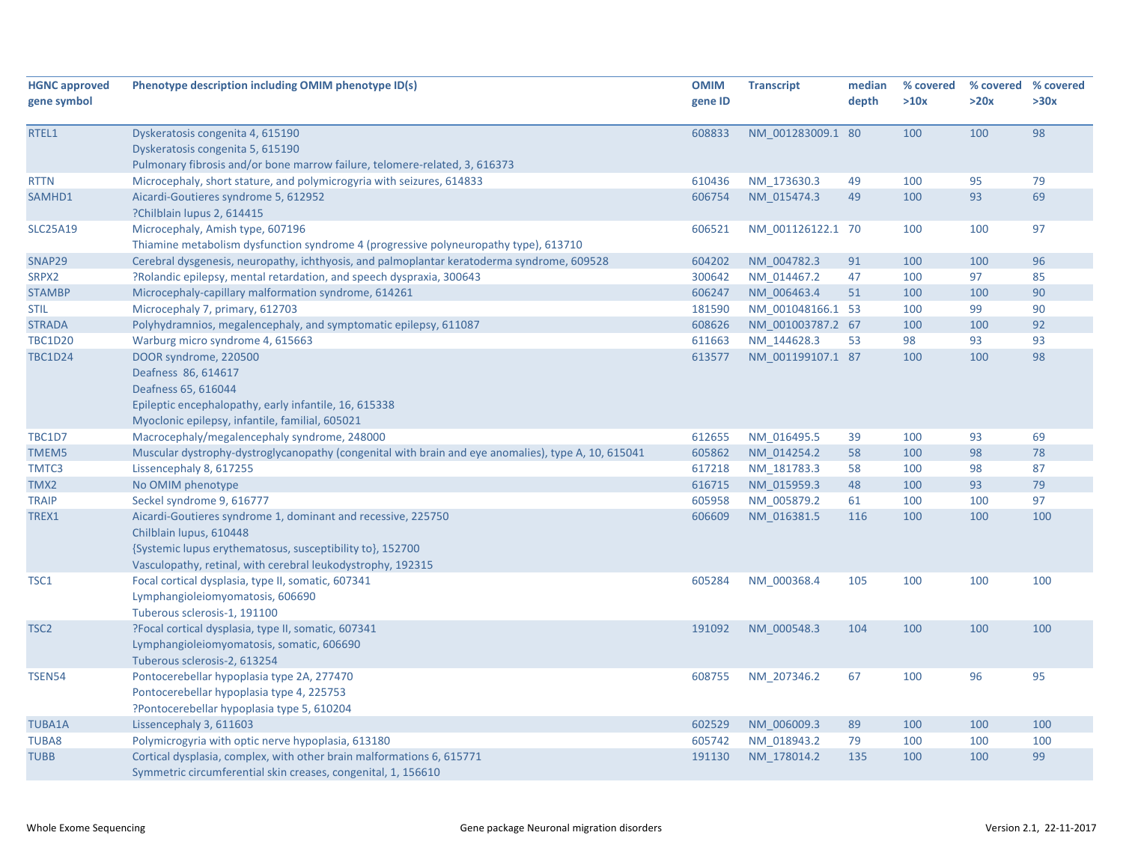| <b>HGNC approved</b> | Phenotype description including OMIM phenotype ID(s)                                                | <b>OMIM</b> | <b>Transcript</b> | median | % covered |      | % covered % covered |
|----------------------|-----------------------------------------------------------------------------------------------------|-------------|-------------------|--------|-----------|------|---------------------|
| gene symbol          |                                                                                                     | gene ID     |                   | depth  | >10x      | >20x | >30x                |
|                      |                                                                                                     |             |                   |        |           |      |                     |
| RTEL1                | Dyskeratosis congenita 4, 615190                                                                    | 608833      | NM 001283009.1 80 |        | 100       | 100  | 98                  |
|                      | Dyskeratosis congenita 5, 615190                                                                    |             |                   |        |           |      |                     |
|                      | Pulmonary fibrosis and/or bone marrow failure, telomere-related, 3, 616373                          |             |                   |        |           |      |                     |
| <b>RTTN</b>          | Microcephaly, short stature, and polymicrogyria with seizures, 614833                               | 610436      | NM_173630.3       | 49     | 100       | 95   | 79                  |
| SAMHD1               | Aicardi-Goutieres syndrome 5, 612952                                                                | 606754      | NM 015474.3       | 49     | 100       | 93   | 69                  |
|                      | ?Chilblain lupus 2, 614415                                                                          |             |                   |        |           |      |                     |
| <b>SLC25A19</b>      | Microcephaly, Amish type, 607196                                                                    | 606521      | NM 001126122.1 70 |        | 100       | 100  | 97                  |
|                      | Thiamine metabolism dysfunction syndrome 4 (progressive polyneuropathy type), 613710                |             |                   |        |           |      |                     |
| SNAP29               | Cerebral dysgenesis, neuropathy, ichthyosis, and palmoplantar keratoderma syndrome, 609528          | 604202      | NM 004782.3       | 91     | 100       | 100  | 96                  |
| SRPX2                | ?Rolandic epilepsy, mental retardation, and speech dyspraxia, 300643                                | 300642      | NM 014467.2       | 47     | 100       | 97   | 85                  |
| <b>STAMBP</b>        | Microcephaly-capillary malformation syndrome, 614261                                                | 606247      | NM 006463.4       | 51     | 100       | 100  | 90                  |
| <b>STIL</b>          | Microcephaly 7, primary, 612703                                                                     | 181590      | NM 001048166.1 53 |        | 100       | 99   | 90                  |
| <b>STRADA</b>        | Polyhydramnios, megalencephaly, and symptomatic epilepsy, 611087                                    | 608626      | NM 001003787.2 67 |        | 100       | 100  | 92                  |
| <b>TBC1D20</b>       | Warburg micro syndrome 4, 615663                                                                    | 611663      | NM 144628.3       | 53     | 98        | 93   | 93                  |
| <b>TBC1D24</b>       | DOOR syndrome, 220500                                                                               | 613577      | NM 001199107.1 87 |        | 100       | 100  | 98                  |
|                      | Deafness 86, 614617                                                                                 |             |                   |        |           |      |                     |
|                      | Deafness 65, 616044                                                                                 |             |                   |        |           |      |                     |
|                      | Epileptic encephalopathy, early infantile, 16, 615338                                               |             |                   |        |           |      |                     |
|                      | Myoclonic epilepsy, infantile, familial, 605021                                                     |             |                   |        |           |      |                     |
| <b>TBC1D7</b>        | Macrocephaly/megalencephaly syndrome, 248000                                                        | 612655      | NM 016495.5       | 39     | 100       | 93   | 69                  |
| TMEM5                | Muscular dystrophy-dystroglycanopathy (congenital with brain and eye anomalies), type A, 10, 615041 | 605862      | NM 014254.2       | 58     | 100       | 98   | 78                  |
| TMTC3                | Lissencephaly 8, 617255                                                                             | 617218      | NM 181783.3       | 58     | 100       | 98   | 87                  |
| TMX2                 | No OMIM phenotype                                                                                   | 616715      | NM 015959.3       | 48     | 100       | 93   | 79                  |
| <b>TRAIP</b>         | Seckel syndrome 9, 616777                                                                           | 605958      | NM 005879.2       | 61     | 100       | 100  | 97                  |
| TREX1                | Aicardi-Goutieres syndrome 1, dominant and recessive, 225750                                        | 606609      | NM 016381.5       | 116    | 100       | 100  | 100                 |
|                      | Chilblain lupus, 610448                                                                             |             |                   |        |           |      |                     |
|                      | {Systemic lupus erythematosus, susceptibility to}, 152700                                           |             |                   |        |           |      |                     |
|                      | Vasculopathy, retinal, with cerebral leukodystrophy, 192315                                         |             |                   |        |           |      |                     |
| TSC1                 | Focal cortical dysplasia, type II, somatic, 607341                                                  | 605284      | NM 000368.4       | 105    | 100       | 100  | 100                 |
|                      | Lymphangioleiomyomatosis, 606690                                                                    |             |                   |        |           |      |                     |
|                      | Tuberous sclerosis-1, 191100                                                                        |             |                   |        |           |      |                     |
| TSC <sub>2</sub>     | ?Focal cortical dysplasia, type II, somatic, 607341                                                 | 191092      | NM 000548.3       | 104    | 100       | 100  | 100                 |
|                      | Lymphangioleiomyomatosis, somatic, 606690                                                           |             |                   |        |           |      |                     |
|                      | Tuberous sclerosis-2, 613254                                                                        |             |                   |        |           |      |                     |
| <b>TSEN54</b>        | Pontocerebellar hypoplasia type 2A, 277470                                                          | 608755      | NM 207346.2       | 67     | 100       | 96   | 95                  |
|                      | Pontocerebellar hypoplasia type 4, 225753                                                           |             |                   |        |           |      |                     |
|                      | ?Pontocerebellar hypoplasia type 5, 610204                                                          |             |                   |        |           |      |                     |
| <b>TUBA1A</b>        | Lissencephaly 3, 611603                                                                             | 602529      | NM 006009.3       | 89     | 100       | 100  | 100                 |
| <b>TUBA8</b>         | Polymicrogyria with optic nerve hypoplasia, 613180                                                  | 605742      | NM_018943.2       | 79     | 100       | 100  | 100                 |
| <b>TUBB</b>          | Cortical dysplasia, complex, with other brain malformations 6, 615771                               | 191130      | NM 178014.2       | 135    | 100       | 100  | 99                  |
|                      | Symmetric circumferential skin creases, congenital, 1, 156610                                       |             |                   |        |           |      |                     |